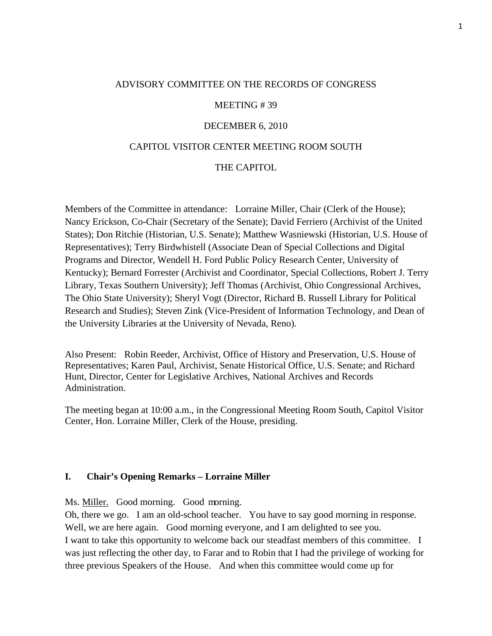## ADVISORY COMMITTEE ON THE RECORDS OF CONGRESS

#### MEETING # 39

#### DECEMBER 6, 2010

#### CAPITOL VISITOR CENTER MEETING ROOM SOUTH

#### THE CAPITOL

Members of the Committee in attendance: Lorraine Miller, Chair (Clerk of the House); Nancy Erickson, Co-Chair (Secretary of the Senate); David Ferriero (Archivist of the United States); Don Ritchie (Historian, U.S. Senate); Matthew Wasniewski (Historian, U.S. House of Representatives); Terry Birdwhistell (Associate Dean of Special Collections and Digital Programs and Director, Wendell H. Ford Public Policy Research Center, University of Kentucky); Bernard Forrester (Archivist and Coordinator, Special Collections, Robert J. Terry Library, Texas Southern University); Jeff Thomas (Archivist, Ohio Congressional Archives, The Ohio State University); Sheryl Vogt (Director, Richard B. Russell Library for Political Research and Studies); Steven Zink (Vice-President of Information Technology, and Dean of the University Libraries at the University of Nevada, Reno).

Also Present: Robin Reeder, Archivist, Office of History and Preservation, U.S. House of Representatives; Karen Paul, Archivist, Senate Historical Office, U.S. Senate; and Richard Hunt, Director, Center for Legislative Archives, National Archives and Records Administration.

The meeting began at 10:00 a.m., in the Congressional Meeting Room South, Capitol Visitor Center, Hon. Lorraine Miller, Clerk of the House, presiding.

## **I. Chair's Opening Remarks – Lorraine Miller**

Ms. Miller. Good morning. Good morning.

Oh, there we go. I am an old-school teacher. You have to say good morning in response. Well, we are here again. Good morning everyone, and I am delighted to see you. I want to take this opportunity to welcome back our steadfast members of this committee. I was just reflecting the other day, to Farar and to Robin that I had the privilege of working for three previous Speakers of the House. And when this committee would come up for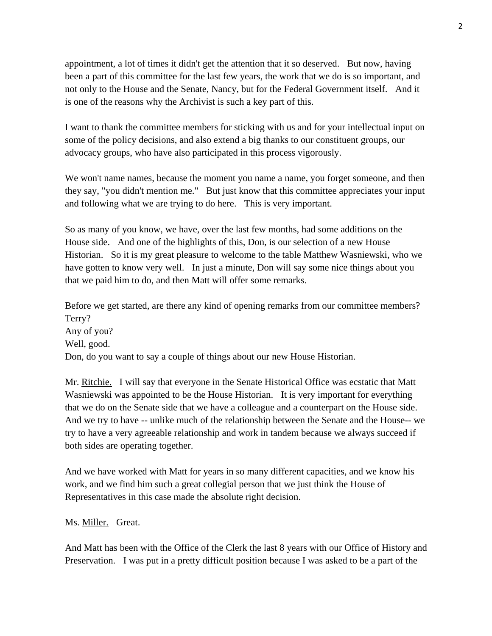appointment, a lot of times it didn't get the attention that it so deserved. But now, having been a part of this committee for the last few years, the work that we do is so important, and not only to the House and the Senate, Nancy, but for the Federal Government itself. And it is one of the reasons why the Archivist is such a key part of this.

I want to thank the committee members for sticking with us and for your intellectual input on some of the policy decisions, and also extend a big thanks to our constituent groups, our advocacy groups, who have also participated in this process vigorously.

We won't name names, because the moment you name a name, you forget someone, and then they say, "you didn't mention me." But just know that this committee appreciates your input and following what we are trying to do here. This is very important.

So as many of you know, we have, over the last few months, had some additions on the House side. And one of the highlights of this, Don, is our selection of a new House Historian. So it is my great pleasure to welcome to the table Matthew Wasniewski, who we have gotten to know very well. In just a minute, Don will say some nice things about you that we paid him to do, and then Matt will offer some remarks.

Before we get started, are there any kind of opening remarks from our committee members? Terry? Any of you? Well, good. Don, do you want to say a couple of things about our new House Historian.

Mr. Ritchie. I will say that everyone in the Senate Historical Office was ecstatic that Matt Wasniewski was appointed to be the House Historian. It is very important for everything that we do on the Senate side that we have a colleague and a counterpart on the House side. And we try to have -- unlike much of the relationship between the Senate and the House-- we try to have a very agreeable relationship and work in tandem because we always succeed if both sides are operating together.

And we have worked with Matt for years in so many different capacities, and we know his work, and we find him such a great collegial person that we just think the House of Representatives in this case made the absolute right decision.

#### Ms. Miller. Great.

And Matt has been with the Office of the Clerk the last 8 years with our Office of History and Preservation. I was put in a pretty difficult position because I was asked to be a part of the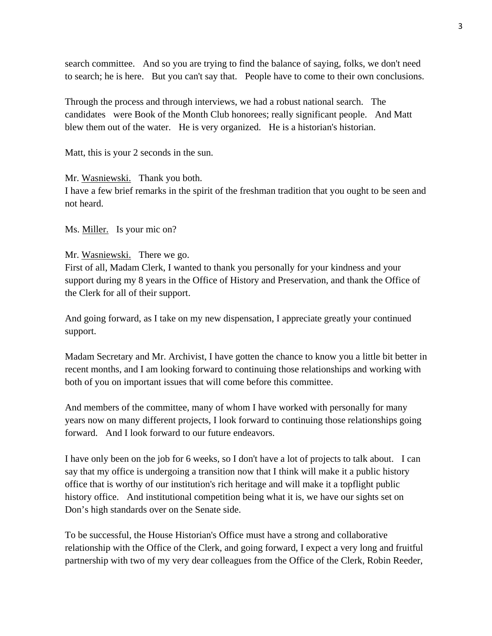search committee. And so you are trying to find the balance of saying, folks, we don't need to search; he is here. But you can't say that. People have to come to their own conclusions.

Through the process and through interviews, we had a robust national search. The candidates were Book of the Month Club honorees; really significant people. And Matt blew them out of the water. He is very organized. He is a historian's historian.

Matt, this is your 2 seconds in the sun.

Mr. Wasniewski. Thank you both.

I have a few brief remarks in the spirit of the freshman tradition that you ought to be seen and not heard.

Ms. Miller. Is your mic on?

# Mr. Wasniewski. There we go.

First of all, Madam Clerk, I wanted to thank you personally for your kindness and your support during my 8 years in the Office of History and Preservation, and thank the Office of the Clerk for all of their support.

And going forward, as I take on my new dispensation, I appreciate greatly your continued support.

Madam Secretary and Mr. Archivist, I have gotten the chance to know you a little bit better in recent months, and I am looking forward to continuing those relationships and working with both of you on important issues that will come before this committee.

And members of the committee, many of whom I have worked with personally for many years now on many different projects, I look forward to continuing those relationships going forward. And I look forward to our future endeavors.

I have only been on the job for 6 weeks, so I don't have a lot of projects to talk about. I can say that my office is undergoing a transition now that I think will make it a public history office that is worthy of our institution's rich heritage and will make it a topflight public history office. And institutional competition being what it is, we have our sights set on Don's high standards over on the Senate side.

To be successful, the House Historian's Office must have a strong and collaborative relationship with the Office of the Clerk, and going forward, I expect a very long and fruitful partnership with two of my very dear colleagues from the Office of the Clerk, Robin Reeder,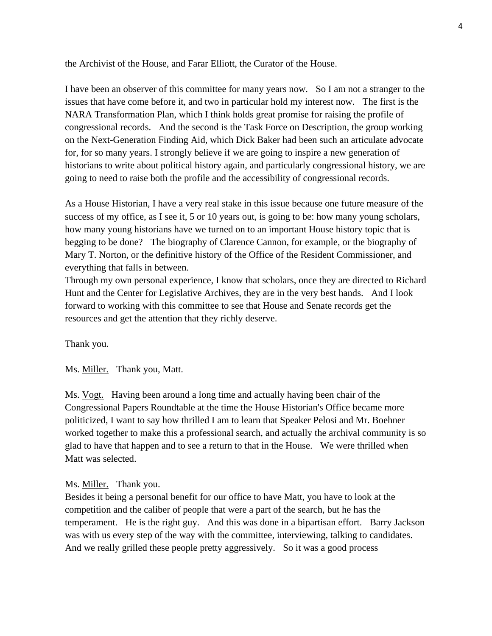the Archivist of the House, and Farar Elliott, the Curator of the House.

I have been an observer of this committee for many years now. So I am not a stranger to the issues that have come before it, and two in particular hold my interest now. The first is the NARA Transformation Plan, which I think holds great promise for raising the profile of congressional records. And the second is the Task Force on Description, the group working on the Next-Generation Finding Aid, which Dick Baker had been such an articulate advocate for, for so many years. I strongly believe if we are going to inspire a new generation of historians to write about political history again, and particularly congressional history, we are going to need to raise both the profile and the accessibility of congressional records.

As a House Historian, I have a very real stake in this issue because one future measure of the success of my office, as I see it, 5 or 10 years out, is going to be: how many young scholars, how many young historians have we turned on to an important House history topic that is begging to be done? The biography of Clarence Cannon, for example, or the biography of Mary T. Norton, or the definitive history of the Office of the Resident Commissioner, and everything that falls in between.

Through my own personal experience, I know that scholars, once they are directed to Richard Hunt and the Center for Legislative Archives, they are in the very best hands. And I look forward to working with this committee to see that House and Senate records get the resources and get the attention that they richly deserve.

Thank you.

Ms. Miller. Thank you, Matt.

Ms. Vogt. Having been around a long time and actually having been chair of the Congressional Papers Roundtable at the time the House Historian's Office became more politicized, I want to say how thrilled I am to learn that Speaker Pelosi and Mr. Boehner worked together to make this a professional search, and actually the archival community is so glad to have that happen and to see a return to that in the House. We were thrilled when Matt was selected.

#### Ms. Miller. Thank you.

Besides it being a personal benefit for our office to have Matt, you have to look at the competition and the caliber of people that were a part of the search, but he has the temperament. He is the right guy. And this was done in a bipartisan effort. Barry Jackson was with us every step of the way with the committee, interviewing, talking to candidates. And we really grilled these people pretty aggressively. So it was a good process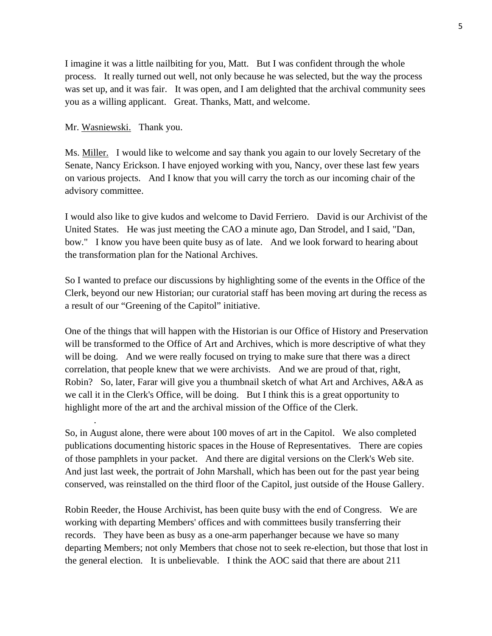I imagine it was a little nailbiting for you, Matt. But I was confident through the whole process. It really turned out well, not only because he was selected, but the way the process was set up, and it was fair. It was open, and I am delighted that the archival community sees you as a willing applicant. Great. Thanks, Matt, and welcome.

Mr. Wasniewski. Thank you.

.

Ms. Miller. I would like to welcome and say thank you again to our lovely Secretary of the Senate, Nancy Erickson. I have enjoyed working with you, Nancy, over these last few years on various projects. And I know that you will carry the torch as our incoming chair of the advisory committee.

I would also like to give kudos and welcome to David Ferriero. David is our Archivist of the United States. He was just meeting the CAO a minute ago, Dan Strodel, and I said, "Dan, bow." I know you have been quite busy as of late. And we look forward to hearing about the transformation plan for the National Archives.

So I wanted to preface our discussions by highlighting some of the events in the Office of the Clerk, beyond our new Historian; our curatorial staff has been moving art during the recess as a result of our "Greening of the Capitol" initiative.

One of the things that will happen with the Historian is our Office of History and Preservation will be transformed to the Office of Art and Archives, which is more descriptive of what they will be doing. And we were really focused on trying to make sure that there was a direct correlation, that people knew that we were archivists. And we are proud of that, right, Robin? So, later, Farar will give you a thumbnail sketch of what Art and Archives, A&A as we call it in the Clerk's Office, will be doing. But I think this is a great opportunity to highlight more of the art and the archival mission of the Office of the Clerk.

So, in August alone, there were about 100 moves of art in the Capitol. We also completed publications documenting historic spaces in the House of Representatives. There are copies of those pamphlets in your packet. And there are digital versions on the Clerk's Web site. And just last week, the portrait of John Marshall, which has been out for the past year being conserved, was reinstalled on the third floor of the Capitol, just outside of the House Gallery.

Robin Reeder, the House Archivist, has been quite busy with the end of Congress. We are working with departing Members' offices and with committees busily transferring their records. They have been as busy as a one-arm paperhanger because we have so many departing Members; not only Members that chose not to seek re-election, but those that lost in the general election. It is unbelievable. I think the AOC said that there are about 211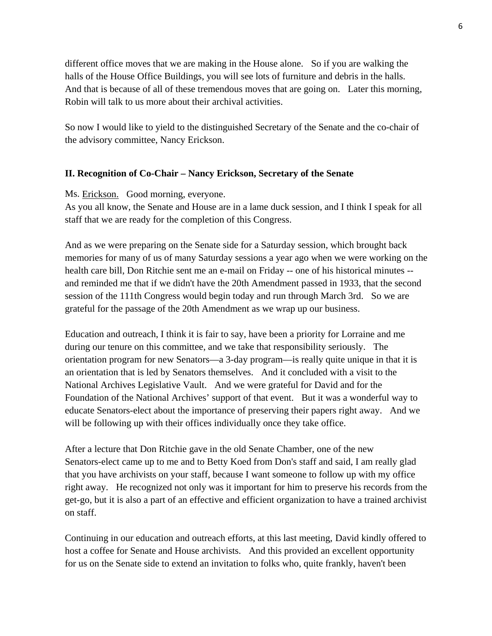different office moves that we are making in the House alone. So if you are walking the halls of the House Office Buildings, you will see lots of furniture and debris in the halls. And that is because of all of these tremendous moves that are going on. Later this morning, Robin will talk to us more about their archival activities.

So now I would like to yield to the distinguished Secretary of the Senate and the co-chair of the advisory committee, Nancy Erickson.

# **II. Recognition of Co-Chair – Nancy Erickson, Secretary of the Senate**

Ms. Erickson. Good morning, everyone.

As you all know, the Senate and House are in a lame duck session, and I think I speak for all staff that we are ready for the completion of this Congress.

And as we were preparing on the Senate side for a Saturday session, which brought back memories for many of us of many Saturday sessions a year ago when we were working on the health care bill, Don Ritchie sent me an e-mail on Friday -- one of his historical minutes - and reminded me that if we didn't have the 20th Amendment passed in 1933, that the second session of the 111th Congress would begin today and run through March 3rd. So we are grateful for the passage of the 20th Amendment as we wrap up our business.

Education and outreach, I think it is fair to say, have been a priority for Lorraine and me during our tenure on this committee, and we take that responsibility seriously. The orientation program for new Senators—a 3-day program—is really quite unique in that it is an orientation that is led by Senators themselves. And it concluded with a visit to the National Archives Legislative Vault. And we were grateful for David and for the Foundation of the National Archives' support of that event. But it was a wonderful way to educate Senators-elect about the importance of preserving their papers right away. And we will be following up with their offices individually once they take office.

After a lecture that Don Ritchie gave in the old Senate Chamber, one of the new Senators-elect came up to me and to Betty Koed from Don's staff and said, I am really glad that you have archivists on your staff, because I want someone to follow up with my office right away. He recognized not only was it important for him to preserve his records from the get-go, but it is also a part of an effective and efficient organization to have a trained archivist on staff.

Continuing in our education and outreach efforts, at this last meeting, David kindly offered to host a coffee for Senate and House archivists. And this provided an excellent opportunity for us on the Senate side to extend an invitation to folks who, quite frankly, haven't been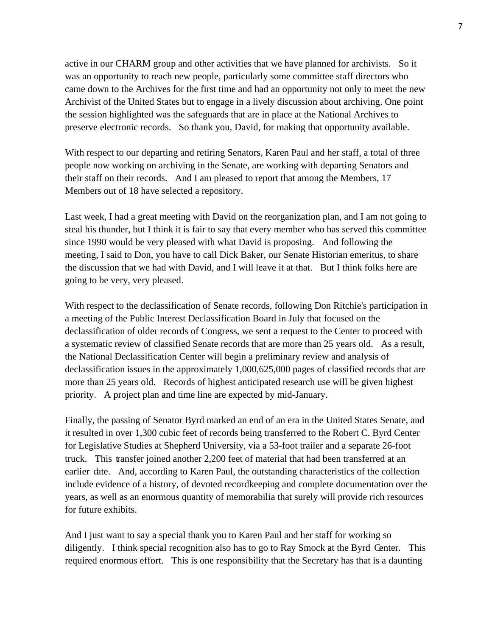active in our CHARM group and other activities that we have planned for archivists. So it was an opportunity to reach new people, particularly some committee staff directors who came down to the Archives for the first time and had an opportunity not only to meet the new Archivist of the United States but to engage in a lively discussion about archiving. One point the session highlighted was the safeguards that are in place at the National Archives to preserve electronic records. So thank you, David, for making that opportunity available.

With respect to our departing and retiring Senators, Karen Paul and her staff, a total of three people now working on archiving in the Senate, are working with departing Senators and their staff on their records. And I am pleased to report that among the Members, 17 Members out of 18 have selected a repository.

Last week, I had a great meeting with David on the reorganization plan, and I am not going to steal his thunder, but I think it is fair to say that every member who has served this committee since 1990 would be very pleased with what David is proposing. And following the meeting, I said to Don, you have to call Dick Baker, our Senate Historian emeritus, to share the discussion that we had with David, and I will leave it at that. But I think folks here are going to be very, very pleased.

With respect to the declassification of Senate records, following Don Ritchie's participation in a meeting of the Public Interest Declassification Board in July that focused on the declassification of older records of Congress, we sent a request to the Center to proceed with a systematic review of classified Senate records that are more than 25 years old. As a result, the National Declassification Center will begin a preliminary review and analysis of declassification issues in the approximately 1,000,625,000 pages of classified records that are more than 25 years old. Records of highest anticipated research use will be given highest priority. A project plan and time line are expected by mid-January.

Finally, the passing of Senator Byrd marked an end of an era in the United States Senate, and it resulted in over 1,300 cubic feet of records being transferred to the Robert C. Byrd Center for Legislative Studies at Shepherd University, via a 53-foot trailer and a separate 26-foot truck. This transfer joined another 2,200 feet of material that had been transferred at an earlier date. And, according to Karen Paul, the outstanding characteristics of the collection include evidence of a history, of devoted recordkeeping and complete documentation over the years, as well as an enormous quantity of memorabilia that surely will provide rich resources for future exhibits.

And I just want to say a special thank you to Karen Paul and her staff for working so diligently. I think special recognition also has to go to Ray Smock at the Byrd Center. This required enormous effort. This is one responsibility that the Secretary has that is a daunting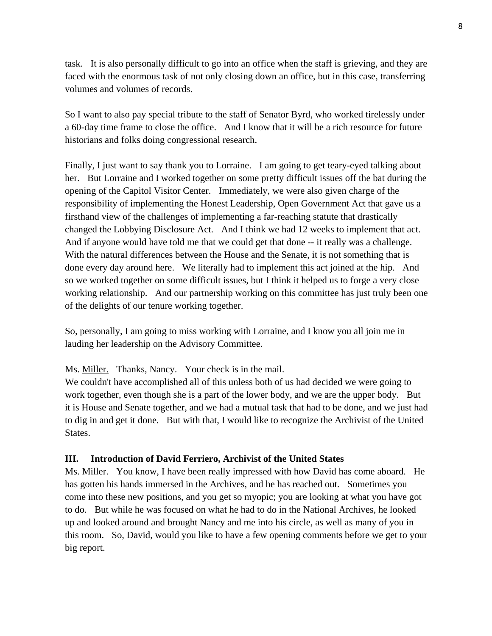task. It is also personally difficult to go into an office when the staff is grieving, and they are faced with the enormous task of not only closing down an office, but in this case, transferring volumes and volumes of records.

So I want to also pay special tribute to the staff of Senator Byrd, who worked tirelessly under a 60-day time frame to close the office. And I know that it will be a rich resource for future historians and folks doing congressional research.

Finally, I just want to say thank you to Lorraine. I am going to get teary-eyed talking about her. But Lorraine and I worked together on some pretty difficult issues off the bat during the opening of the Capitol Visitor Center. Immediately, we were also given charge of the responsibility of implementing the Honest Leadership, Open Government Act that gave us a firsthand view of the challenges of implementing a far-reaching statute that drastically changed the Lobbying Disclosure Act. And I think we had 12 weeks to implement that act. And if anyone would have told me that we could get that done -- it really was a challenge. With the natural differences between the House and the Senate, it is not something that is done every day around here. We literally had to implement this act joined at the hip. And so we worked together on some difficult issues, but I think it helped us to forge a very close working relationship. And our partnership working on this committee has just truly been one of the delights of our tenure working together.

So, personally, I am going to miss working with Lorraine, and I know you all join me in lauding her leadership on the Advisory Committee.

# Ms. **Miller.** Thanks, Nancy. Your check is in the mail.

We couldn't have accomplished all of this unless both of us had decided we were going to work together, even though she is a part of the lower body, and we are the upper body. But it is House and Senate together, and we had a mutual task that had to be done, and we just had to dig in and get it done. But with that, I would like to recognize the Archivist of the United States.

# **III. Introduction of David Ferriero, Archivist of the United States**

Ms. Miller. You know, I have been really impressed with how David has come aboard. He has gotten his hands immersed in the Archives, and he has reached out. Sometimes you come into these new positions, and you get so myopic; you are looking at what you have got to do. But while he was focused on what he had to do in the National Archives, he looked up and looked around and brought Nancy and me into his circle, as well as many of you in this room. So, David, would you like to have a few opening comments before we get to your big report.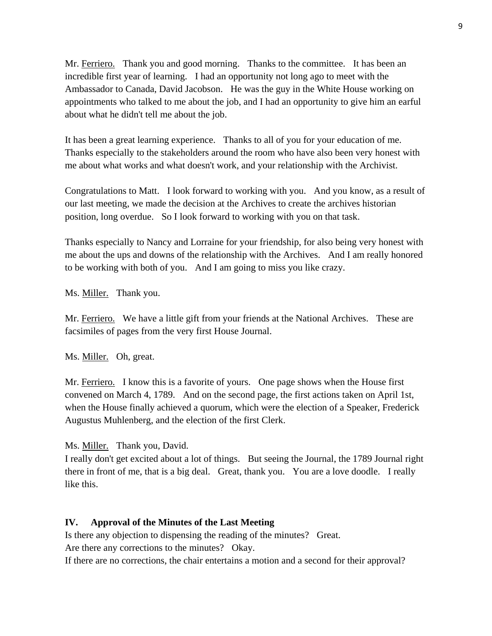Mr. Ferriero. Thank you and good morning. Thanks to the committee. It has been an incredible first year of learning. I had an opportunity not long ago to meet with the Ambassador to Canada, David Jacobson. He was the guy in the White House working on appointments who talked to me about the job, and I had an opportunity to give him an earful about what he didn't tell me about the job.

It has been a great learning experience. Thanks to all of you for your education of me. Thanks especially to the stakeholders around the room who have also been very honest with me about what works and what doesn't work, and your relationship with the Archivist.

Congratulations to Matt. I look forward to working with you. And you know, as a result of our last meeting, we made the decision at the Archives to create the archives historian position, long overdue. So I look forward to working with you on that task.

Thanks especially to Nancy and Lorraine for your friendship, for also being very honest with me about the ups and downs of the relationship with the Archives. And I am really honored to be working with both of you. And I am going to miss you like crazy.

Ms. Miller. Thank you.

Mr. Ferriero. We have a little gift from your friends at the National Archives. These are facsimiles of pages from the very first House Journal.

Ms. Miller. Oh, great.

Mr. Ferriero. I know this is a favorite of yours. One page shows when the House first convened on March 4, 1789. And on the second page, the first actions taken on April 1st, when the House finally achieved a quorum, which were the election of a Speaker, Frederick Augustus Muhlenberg, and the election of the first Clerk.

Ms. **Miller.** Thank you, David.

I really don't get excited about a lot of things. But seeing the Journal, the 1789 Journal right there in front of me, that is a big deal. Great, thank you. You are a love doodle. I really like this.

#### **IV. Approval of the Minutes of the Last Meeting**

Is there any objection to dispensing the reading of the minutes? Great. Are there any corrections to the minutes? Okay.

If there are no corrections, the chair entertains a motion and a second for their approval?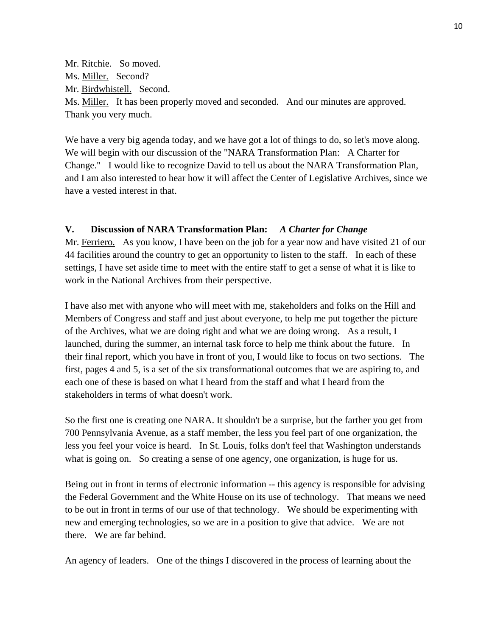Mr. <u>Ritchie.</u> So moved. Ms. Miller. Second? Mr. Birdwhistell. Second. Ms. Miller. It has been properly moved and seconded. And our minutes are approved. Thank you very much.

We have a very big agenda today, and we have got a lot of things to do, so let's move along. We will begin with our discussion of the "NARA Transformation Plan: A Charter for Change." I would like to recognize David to tell us about the NARA Transformation Plan, and I am also interested to hear how it will affect the Center of Legislative Archives, since we have a vested interest in that.

# **V. Discussion of NARA Transformation Plan:** *A Charter for Change*

Mr. Ferriero. As you know, I have been on the job for a year now and have visited 21 of our 44 facilities around the country to get an opportunity to listen to the staff. In each of these settings, I have set aside time to meet with the entire staff to get a sense of what it is like to work in the National Archives from their perspective.

I have also met with anyone who will meet with me, stakeholders and folks on the Hill and Members of Congress and staff and just about everyone, to help me put together the picture of the Archives, what we are doing right and what we are doing wrong. As a result, I launched, during the summer, an internal task force to help me think about the future. In their final report, which you have in front of you, I would like to focus on two sections. The first, pages 4 and 5, is a set of the six transformational outcomes that we are aspiring to, and each one of these is based on what I heard from the staff and what I heard from the stakeholders in terms of what doesn't work.

So the first one is creating one NARA. It shouldn't be a surprise, but the farther you get from 700 Pennsylvania Avenue, as a staff member, the less you feel part of one organization, the less you feel your voice is heard. In St. Louis, folks don't feel that Washington understands what is going on. So creating a sense of one agency, one organization, is huge for us.

Being out in front in terms of electronic information -- this agency is responsible for advising the Federal Government and the White House on its use of technology. That means we need to be out in front in terms of our use of that technology. We should be experimenting with new and emerging technologies, so we are in a position to give that advice. We are not there. We are far behind.

An agency of leaders. One of the things I discovered in the process of learning about the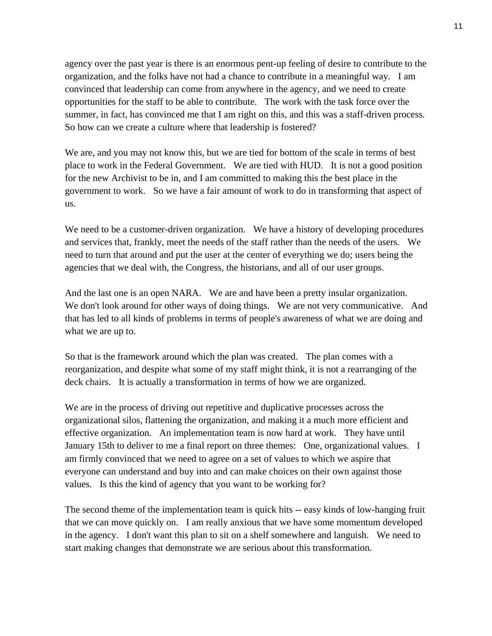agency over the past year is there is an enormous pent-up feeling of desire to contribute to the organization, and the folks have not had a chance to contribute in a meaningful way. I am convinced that leadership can come from anywhere in the agency, and we need to create opportunities for the staff to be able to contribute. The work with the task force over the summer, in fact, has convinced me that I am right on this, and this was a staff-driven process. So how can we create a culture where that leadership is fostered?

We are, and you may not know this, but we are tied for bottom of the scale in terms of best place to work in the Federal Government. We are tied with HUD. It is not a good position for the new Archivist to be in, and I am committed to making this the best place in the government to work. So we have a fair amount of work to do in transforming that aspect of us.

We need to be a customer-driven organization. We have a history of developing procedures and services that, frankly, meet the needs of the staff rather than the needs of the users. We need to turn that around and put the user at the center of everything we do; users being the agencies that we deal with, the Congress, the historians, and all of our user groups.

And the last one is an open NARA. We are and have been a pretty insular organization. We don't look around for other ways of doing things. We are not very communicative. And that has led to all kinds of problems in terms of people's awareness of what we are doing and what we are up to.

So that is the framework around which the plan was created. The plan comes with a reorganization, and despite what some of my staff might think, it is not a rearranging of the deck chairs. It is actually a transformation in terms of how we are organized.

We are in the process of driving out repetitive and duplicative processes across the organizational silos, flattening the organization, and making it a much more efficient and effective organization. An implementation team is now hard at work. They have until January 15th to deliver to me a final report on three themes: One, organizational values. I am firmly convinced that we need to agree on a set of values to which we aspire that everyone can understand and buy into and can make choices on their own against those values. Is this the kind of agency that you want to be working for?

The second theme of the implementation team is quick hits -- easy kinds of low-hanging fruit that we can move quickly on. I am really anxious that we have some momentum developed in the agency. I don't want this plan to sit on a shelf somewhere and languish. We need to start making changes that demonstrate we are serious about this transformation.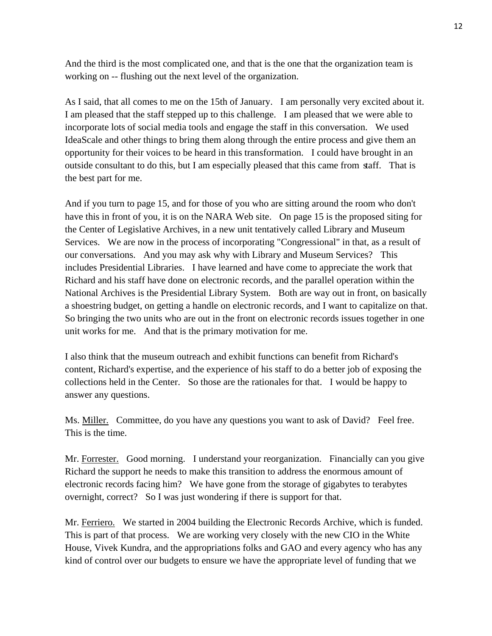And the third is the most complicated one, and that is the one that the organization team is working on -- flushing out the next level of the organization.

As I said, that all comes to me on the 15th of January. I am personally very excited about it. I am pleased that the staff stepped up to this challenge. I am pleased that we were able to incorporate lots of social media tools and engage the staff in this conversation. We used IdeaScale and other things to bring them along through the entire process and give them an opportunity for their voices to be heard in this transformation. I could have brought in an outside consultant to do this, but I am especially pleased that this came from staff. That is the best part for me.

And if you turn to page 15, and for those of you who are sitting around the room who don't have this in front of you, it is on the NARA Web site. On page 15 is the proposed siting for the Center of Legislative Archives, in a new unit tentatively called Library and Museum Services. We are now in the process of incorporating "Congressional" in that, as a result of our conversations. And you may ask why with Library and Museum Services? This includes Presidential Libraries. I have learned and have come to appreciate the work that Richard and his staff have done on electronic records, and the parallel operation within the National Archives is the Presidential Library System. Both are way out in front, on basically a shoestring budget, on getting a handle on electronic records, and I want to capitalize on that. So bringing the two units who are out in the front on electronic records issues together in one unit works for me. And that is the primary motivation for me.

I also think that the museum outreach and exhibit functions can benefit from Richard's content, Richard's expertise, and the experience of his staff to do a better job of exposing the collections held in the Center. So those are the rationales for that. I would be happy to answer any questions.

Ms. Miller. Committee, do you have any questions you want to ask of David? Feel free. This is the time.

Mr. Forrester. Good morning. I understand your reorganization. Financially can you give Richard the support he needs to make this transition to address the enormous amount of electronic records facing him? We have gone from the storage of gigabytes to terabytes overnight, correct? So I was just wondering if there is support for that.

Mr. Ferriero. We started in 2004 building the Electronic Records Archive, which is funded. This is part of that process. We are working very closely with the new CIO in the White House, Vivek Kundra, and the appropriations folks and GAO and every agency who has any kind of control over our budgets to ensure we have the appropriate level of funding that we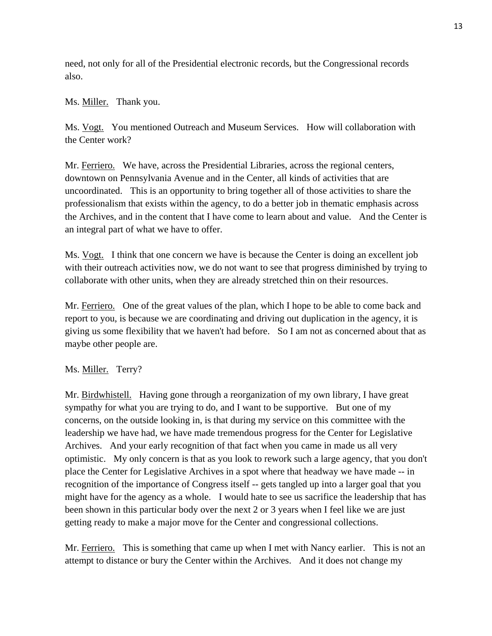need, not only for all of the Presidential electronic records, but the Congressional records also.

# Ms. Miller. Thank you.

Ms. Vogt. You mentioned Outreach and Museum Services. How will collaboration with the Center work?

Mr. Ferriero. We have, across the Presidential Libraries, across the regional centers, downtown on Pennsylvania Avenue and in the Center, all kinds of activities that are uncoordinated. This is an opportunity to bring together all of those activities to share the professionalism that exists within the agency, to do a better job in thematic emphasis across the Archives, and in the content that I have come to learn about and value. And the Center is an integral part of what we have to offer.

Ms. Vogt. I think that one concern we have is because the Center is doing an excellent job with their outreach activities now, we do not want to see that progress diminished by trying to collaborate with other units, when they are already stretched thin on their resources.

Mr. Ferriero. One of the great values of the plan, which I hope to be able to come back and report to you, is because we are coordinating and driving out duplication in the agency, it is giving us some flexibility that we haven't had before. So I am not as concerned about that as maybe other people are.

# Ms. Miller. Terry?

Mr. Birdwhistell. Having gone through a reorganization of my own library, I have great sympathy for what you are trying to do, and I want to be supportive. But one of my concerns, on the outside looking in, is that during my service on this committee with the leadership we have had, we have made tremendous progress for the Center for Legislative Archives. And your early recognition of that fact when you came in made us all very optimistic. My only concern is that as you look to rework such a large agency, that you don't place the Center for Legislative Archives in a spot where that headway we have made -- in recognition of the importance of Congress itself -- gets tangled up into a larger goal that you might have for the agency as a whole. I would hate to see us sacrifice the leadership that has been shown in this particular body over the next 2 or 3 years when I feel like we are just getting ready to make a major move for the Center and congressional collections.

Mr. Ferriero. This is something that came up when I met with Nancy earlier. This is not an attempt to distance or bury the Center within the Archives. And it does not change my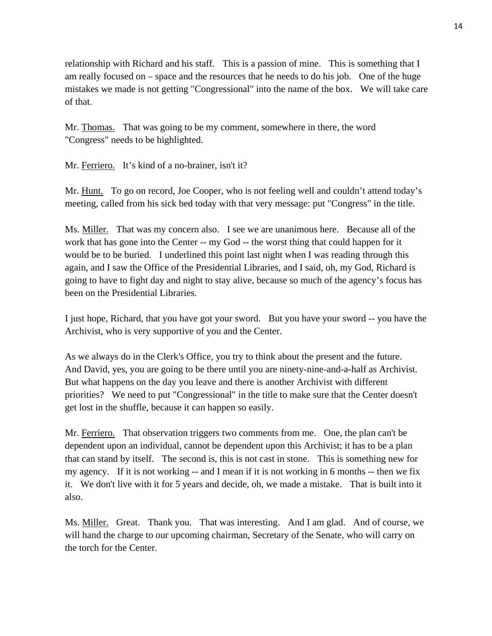relationship with Richard and his staff. This is a passion of mine. This is something that I am really focused on – space and the resources that he needs to do his job. One of the huge mistakes we made is not getting "Congressional" into the name of the box. We will take care of that.

Mr. Thomas. That was going to be my comment, somewhere in there, the word "Congress" needs to be highlighted.

Mr. Ferriero. It's kind of a no-brainer, isn't it?

Mr. Hunt. To go on record, Joe Cooper, who is not feeling well and couldn't attend today's meeting, called from his sick bed today with that very message: put "Congress" in the title.

Ms. Miller. That was my concern also. I see we are unanimous here. Because all of the work that has gone into the Center -- my God -- the worst thing that could happen for it would be to be buried. I underlined this point last night when I was reading through this again, and I saw the Office of the Presidential Libraries, and I said, oh, my God, Richard is going to have to fight day and night to stay alive, because so much of the agency's focus has been on the Presidential Libraries.

I just hope, Richard, that you have got your sword. But you have your sword -- you have the Archivist, who is very supportive of you and the Center.

As we always do in the Clerk's Office, you try to think about the present and the future. And David, yes, you are going to be there until you are ninety-nine-and-a-half as Archivist. But what happens on the day you leave and there is another Archivist with different priorities? We need to put "Congressional" in the title to make sure that the Center doesn't get lost in the shuffle, because it can happen so easily.

Mr. Ferriero. That observation triggers two comments from me. One, the plan can't be dependent upon an individual, cannot be dependent upon this Archivist; it has to be a plan that can stand by itself. The second is, this is not cast in stone. This is something new for my agency. If it is not working -- and I mean if it is not working in 6 months -- then we fix it. We don't live with it for 5 years and decide, oh, we made a mistake. That is built into it also.

Ms. Miller. Great. Thank you. That was interesting. And I am glad. And of course, we will hand the charge to our upcoming chairman, Secretary of the Senate, who will carry on the torch for the Center.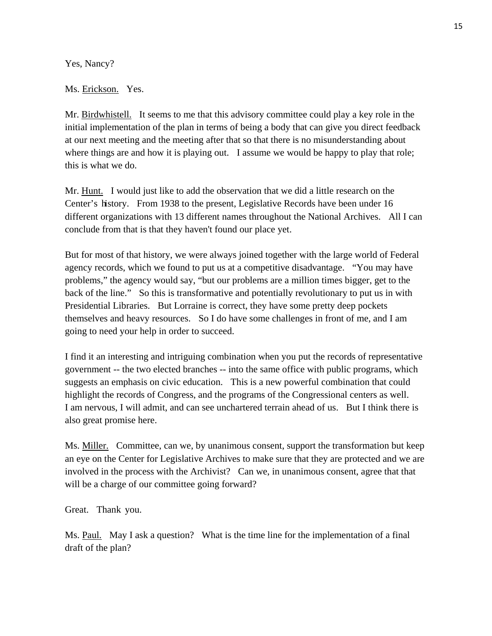Yes, Nancy?

## Ms. Erickson. Yes.

Mr. Birdwhistell. It seems to me that this advisory committee could play a key role in the initial implementation of the plan in terms of being a body that can give you direct feedback at our next meeting and the meeting after that so that there is no misunderstanding about where things are and how it is playing out. I assume we would be happy to play that role; this is what we do.

Mr. Hunt. I would just like to add the observation that we did a little research on the Center's history. From 1938 to the present, Legislative Records have been under 16 different organizations with 13 different names throughout the National Archives. All I can conclude from that is that they haven't found our place yet.

But for most of that history, we were always joined together with the large world of Federal agency records, which we found to put us at a competitive disadvantage. "You may have problems," the agency would say, "but our problems are a million times bigger, get to the back of the line." So this is transformative and potentially revolutionary to put us in with Presidential Libraries. But Lorraine is correct, they have some pretty deep pockets themselves and heavy resources. So I do have some challenges in front of me, and I am going to need your help in order to succeed.

I find it an interesting and intriguing combination when you put the records of representative government -- the two elected branches -- into the same office with public programs, which suggests an emphasis on civic education. This is a new powerful combination that could highlight the records of Congress, and the programs of the Congressional centers as well. I am nervous, I will admit, and can see unchartered terrain ahead of us. But I think there is also great promise here.

Ms. Miller. Committee, can we, by unanimous consent, support the transformation but keep an eye on the Center for Legislative Archives to make sure that they are protected and we are involved in the process with the Archivist? Can we, in unanimous consent, agree that that will be a charge of our committee going forward?

Great. Thank you.

Ms. Paul. May I ask a question? What is the time line for the implementation of a final draft of the plan?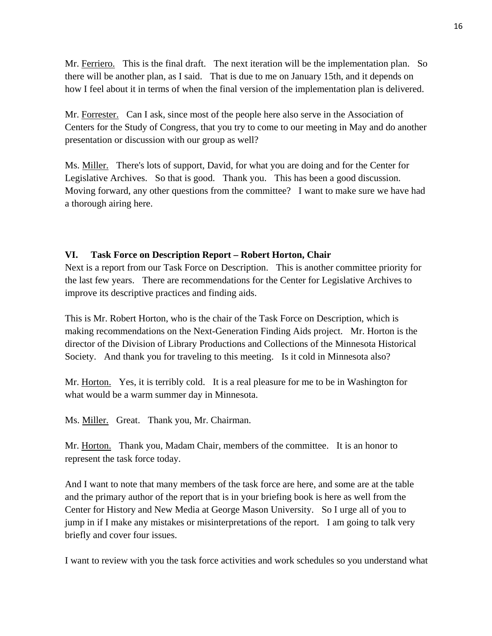Mr. Ferriero. This is the final draft. The next iteration will be the implementation plan. So there will be another plan, as I said. That is due to me on January 15th, and it depends on how I feel about it in terms of when the final version of the implementation plan is delivered.

Mr. Forrester. Can I ask, since most of the people here also serve in the Association of Centers for the Study of Congress, that you try to come to our meeting in May and do another presentation or discussion with our group as well?

Ms. Miller. There's lots of support, David, for what you are doing and for the Center for Moving forward, any other questions from the committee? I want to make sure we have had a thorough airing here. Legislative Archives. So that is good. Thank you. This has been a good discussion.

#### **VI. Task Force on Description Report – Robert Horton, Chair**

Next is a report from our Task Force on Description. This is another committee priority for the last few years. There are recommendations for the Center for Legislative Archives to improve its descriptive practices and finding aids.

This is Mr. Robert Horton, who is the chair of the Task Force on Description, which is making recommendations on the Next-Generation Finding Aids project. Mr. Horton is the director of the Division of Library Productions and Collections of the Minnesota Historical Society. And thank you for traveling to this meeting. Is it cold in Minnesota also?

Mr. Horton. Yes, it is terribly cold. It is a real pleasure for me to be in Washington for what would be a warm summer day in Minnesota.

Ms. Miller. Great. Thank you, Mr. Chairman.

Mr. Horton. Thank you, Madam Chair, members of the committee. It is an honor to represent the task force today.

And I want to note that many members of the task force are here, and some are at the table and the primary author of the report that is in your briefing book is here as well from the Center for History and New Media at George Mason University. So I urge all of you to jump in if I make any mistakes or misinterpretations of the report. I am going to talk very briefly and cover four issues.

I want to review with you the task force activities and work schedules so you understand what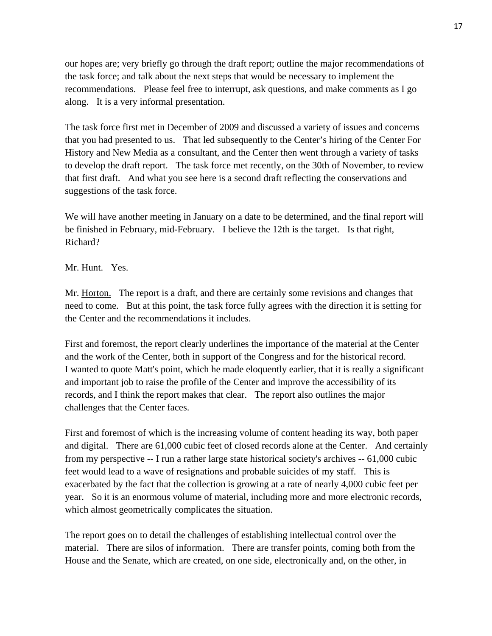our hopes are; very briefly go through the draft report; outline the major recommendations of the task force; and talk about the next steps that would be necessary to implement the recommendations. Please feel free to interrupt, ask questions, and make comments as I go along. It is a very informal presentation.

The task force first met in December of 2009 and discussed a variety of issues and concerns that you had presented to us. That led subsequently to the Center's hiring of the Center For History and New Media as a consultant, and the Center then went through a variety of tasks to develop the draft report. The task force met recently, on the 30th of November, to review that first draft. And what you see here is a second draft reflecting the conservations and suggestions of the task force.

We will have another meeting in January on a date to be determined, and the final report will be finished in February, mid-February. I believe the 12th is the target. Is that right, Richard?

# Mr. Hunt. Yes.

Mr. Horton. The report is a draft, and there are certainly some revisions and changes that need to come. But at this point, the task force fully agrees with the direction it is setting for the Center and the recommendations it includes.

First and foremost, the report clearly underlines the importance of the material at the Center and the work of the Center, both in support of the Congress and for the historical record. I wanted to quote Matt's point, which he made eloquently earlier, that it is really a significant and important job to raise the profile of the Center and improve the accessibility of its records, and I think the report makes that clear. The report also outlines the major challenges that the Center faces.

First and foremost of which is the increasing volume of content heading its way, both paper and digital. There are 61,000 cubic feet of closed records alone at the Center. And certainly from my perspective -- I run a rather large state historical society's archives -- 61,000 cubic feet would lead to a wave of resignations and probable suicides of my staff. This is exacerbated by the fact that the collection is growing at a rate of nearly 4,000 cubic feet per year. So it is an enormous volume of material, including more and more electronic records, which almost geometrically complicates the situation.

The report goes on to detail the challenges of establishing intellectual control over the material. There are silos of information. There are transfer points, coming both from the House and the Senate, which are created, on one side, electronically and, on the other, in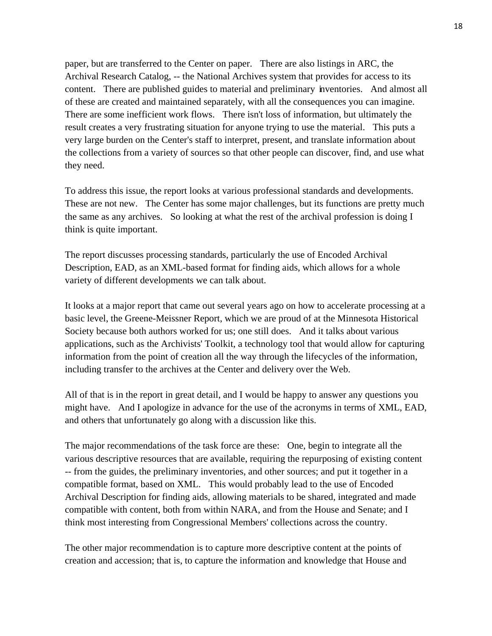paper, but are transferred to the Center on paper. There are also listings in ARC, the Archival Research Catalog, -- the National Archives system that provides for access to its content. There are published guides to material and preliminary inventories. And almost all of these are created and maintained separately, with all the consequences you can imagine. There are some inefficient work flows. There isn't loss of information, but ultimately the result creates a very frustrating situation for anyone trying to use the material. This puts a very large burden on the Center's staff to interpret, present, and translate information about the collections from a variety of sources so that other people can discover, find, and use what they need.

To address this issue, the report looks at various professional standards and developments. These are not new. The Center has some major challenges, but its functions are pretty much the same as any archives. So looking at what the rest of the archival profession is doing I think is quite important.

The report discusses processing standards, particularly the use of Encoded Archival Description, EAD, as an XML-based format for finding aids, which allows for a whole variety of different developments we can talk about.

It looks at a major report that came out several years ago on how to accelerate processing at a basic level, the Greene-Meissner Report, which we are proud of at the Minnesota Historical Society because both authors worked for us; one still does. And it talks about various applications, such as the Archivists' Toolkit, a technology tool that would allow for capturing information from the point of creation all the way through the lifecycles of the information, including transfer to the archives at the Center and delivery over the Web.

All of that is in the report in great detail, and I would be happy to answer any questions you might have. And I apologize in advance for the use of the acronyms in terms of XML, EAD, and others that unfortunately go along with a discussion like this.

The major recommendations of the task force are these: One, begin to integrate all the various descriptive resources that are available, requiring the repurposing of existing content -- from the guides, the preliminary inventories, and other sources; and put it together in a compatible format, based on XML. This would probably lead to the use of Encoded Archival Description for finding aids, allowing materials to be shared, integrated and made compatible with content, both from within NARA, and from the House and Senate; and I think most interesting from Congressional Members' collections across the country.

The other major recommendation is to capture more descriptive content at the points of creation and accession; that is, to capture the information and knowledge that House and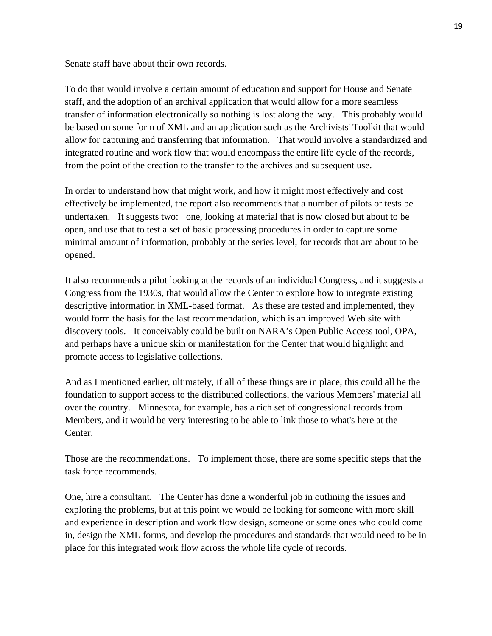Senate staff have about their own records.

To do that would involve a certain amount of education and support for House and Senate staff, and the adoption of an archival application that would allow for a more seamless transfer of information electronically so nothing is lost along the way. This probably would be based on some form of XML and an application such as the Archivists' Toolkit that would allow for capturing and transferring that information. That would involve a standardized and integrated routine and work flow that would encompass the entire life cycle of the records, from the point of the creation to the transfer to the archives and subsequent use.

In order to understand how that might work, and how it might most effectively and cost effectively be implemented, the report also recommends that a number of pilots or tests be undertaken. It suggests two: one, looking at material that is now closed but about to be open, and use that to test a set of basic processing procedures in order to capture some minimal amount of information, probably at the series level, for records that are about to be opened.

It also recommends a pilot looking at the records of an individual Congress, and it suggests a Congress from the 1930s, that would allow the Center to explore how to integrate existing descriptive information in XML-based format. As these are tested and implemented, they would form the basis for the last recommendation, which is an improved Web site with discovery tools. It conceivably could be built on NARA's Open Public Access tool, OPA, and perhaps have a unique skin or manifestation for the Center that would highlight and promote access to legislative collections.

And as I mentioned earlier, ultimately, if all of these things are in place, this could all be the foundation to support access to the distributed collections, the various Members' material all over the country. Minnesota, for example, has a rich set of congressional records from Members, and it would be very interesting to be able to link those to what's here at the Center.

Those are the recommendations. To implement those, there are some specific steps that the task force recommends.

One, hire a consultant. The Center has done a wonderful job in outlining the issues and exploring the problems, but at this point we would be looking for someone with more skill and experience in description and work flow design, someone or some ones who could come in, design the XML forms, and develop the procedures and standards that would need to be in place for this integrated work flow across the whole life cycle of records.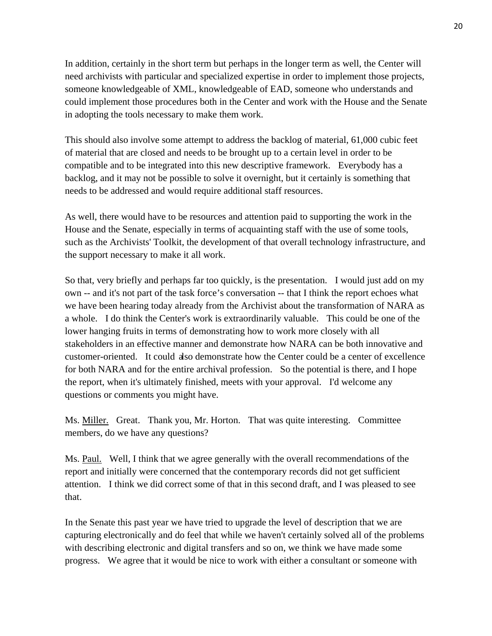In addition, certainly in the short term but perhaps in the longer term as well, the Center will need archivists with particular and specialized expertise in order to implement those projects, someone knowledgeable of XML, knowledgeable of EAD, someone who understands and could implement those procedures both in the Center and work with the House and the Senate in adopting the tools necessary to make them work.

This should also involve some attempt to address the backlog of material, 61,000 cubic feet of material that are closed and needs to be brought up to a certain level in order to be compatible and to be integrated into this new descriptive framework. Everybody has a backlog, and it may not be possible to solve it overnight, but it certainly is something that needs to be addressed and would require additional staff resources.

As well, there would have to be resources and attention paid to supporting the work in the House and the Senate, especially in terms of acquainting staff with the use of some tools, such as the Archivists' Toolkit, the development of that overall technology infrastructure, and the support necessary to make it all work.

So that, very briefly and perhaps far too quickly, is the presentation. I would just add on my own -- and it's not part of the task force's conversation -- that I think the report echoes what we have been hearing today already from the Archivist about the transformation of NARA as a whole. I do think the Center's work is extraordinarily valuable. This could be one of the lower hanging fruits in terms of demonstrating how to work more closely with all stakeholders in an effective manner and demonstrate how NARA can be both innovative and customer-oriented. It could also demonstrate how the Center could be a center of excellence for both NARA and for the entire archival profession. So the potential is there, and I hope the report, when it's ultimately finished, meets with your approval. I'd welcome any questions or comments you might have.

Ms. Miller. Great. Thank you, Mr. Horton. That was quite interesting. Committee members, do we have any questions?

Ms. Paul. Well, I think that we agree generally with the overall recommendations of the report and initially were concerned that the contemporary records did not get sufficient attention. I think we did correct some of that in this second draft, and I was pleased to see that.

In the Senate this past year we have tried to upgrade the level of description that we are capturing electronically and do feel that while we haven't certainly solved all of the problems with describing electronic and digital transfers and so on, we think we have made some progress. We agree that it would be nice to work with either a consultant or someone with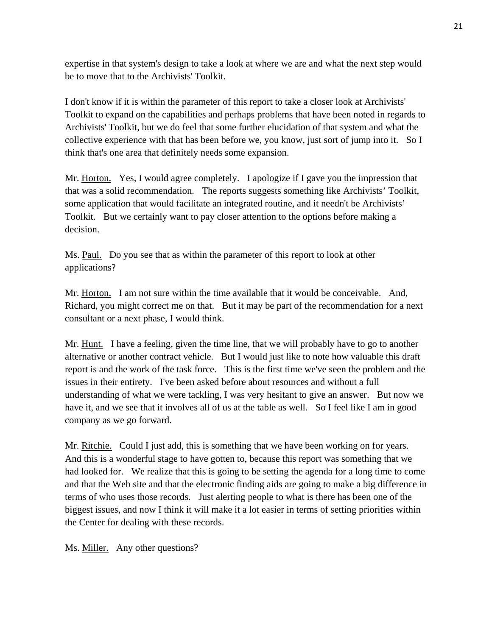expertise in that system's design to take a look at where we are and what the next step would be to move that to the Archivists' Toolkit.

I don't know if it is within the parameter of this report to take a closer look at Archivists' Toolkit to expand on the capabilities and perhaps problems that have been noted in regards to Archivists' Toolkit, but we do feel that some further elucidation of that system and what the collective experience with that has been before we, you know, just sort of jump into it. So I think that's one area that definitely needs some expansion.

Mr. Horton. Yes, I would agree completely. I apologize if I gave you the impression that that was a solid recommendation. The reports suggests something like Archivists' Toolkit, some application that would facilitate an integrated routine, and it needn't be Archivists' Toolkit. But we certainly want to pay closer attention to the options before making a decision.

Ms. Paul. Do you see that as within the parameter of this report to look at other applications?

Mr. Horton. I am not sure within the time available that it would be conceivable. And, Richard, you might correct me on that. But it may be part of the recommendation for a next consultant or a next phase, I would think.

Mr. Hunt. I have a feeling, given the time line, that we will probably have to go to another alternative or another contract vehicle. But I would just like to note how valuable this draft report is and the work of the task force. This is the first time we've seen the problem and the issues in their entirety. I've been asked before about resources and without a full understanding of what we were tackling, I was very hesitant to give an answer. But now we have it, and we see that it involves all of us at the table as well. So I feel like I am in good company as we go forward.

Mr. Ritchie. Could I just add, this is something that we have been working on for years. And this is a wonderful stage to have gotten to, because this report was something that we had looked for. We realize that this is going to be setting the agenda for a long time to come and that the Web site and that the electronic finding aids are going to make a big difference in terms of who uses those records. Just alerting people to what is there has been one of the biggest issues, and now I think it will make it a lot easier in terms of setting priorities within the Center for dealing with these records.

Ms. Miller. Any other questions?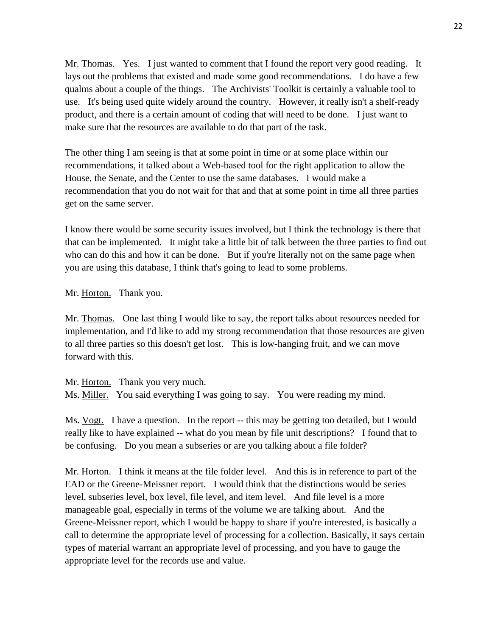Mr. Thomas. Yes. I just wanted to comment that I found the report very good reading. It lays out the problems that existed and made some good recommendations. I do have a few qualms about a couple of the things. The Archivists' Toolkit is certainly a valuable tool to use. It's being used quite widely around the country. However, it really isn't a shelf-ready product, and there is a certain amount of coding that will need to be done. I just want to make sure that the resources are available to do that part of the task.

The other thing I am seeing is that at some point in time or at some place within our recommendations, it talked about a Web-based tool for the right application to allow the House, the Senate, and the Center to use the same databases. I would make a recommendation that you do not wait for that and that at some point in time all three parties get on the same server.

I know there would be some security issues involved, but I think the technology is there that that can be implemented. It might take a little bit of talk between the three parties to find out who can do this and how it can be done. But if you're literally not on the same page when you are using this database, I think that's going to lead to some problems.

Mr. Horton. Thank you.

Mr. Thomas. One last thing I would like to say, the report talks about resources needed for implementation, and I'd like to add my strong recommendation that those resources are given to all three parties so this doesn't get lost. This is low-hanging fruit, and we can move forward with this.

Mr. Horton. Thank you very much.

Ms. **Miller.** You said everything I was going to say. You were reading my mind.

Ms. Vogt. I have a question. In the report -- this may be getting too detailed, but I would really like to have explained -- what do you mean by file unit descriptions? I found that to be confusing. Do you mean a subseries or are you talking about a file folder?

Mr. Horton. I think it means at the file folder level. And this is in reference to part of the EAD or the Greene-Meissner report. I would think that the distinctions would be series level, subseries level, box level, file level, and item level. And file level is a more manageable goal, especially in terms of the volume we are talking about. And the Greene-Meissner report, which I would be happy to share if you're interested, is basically a call to determine the appropriate level of processing for a collection. Basically, it says certain types of material warrant an appropriate level of processing, and you have to gauge the appropriate level for the records use and value.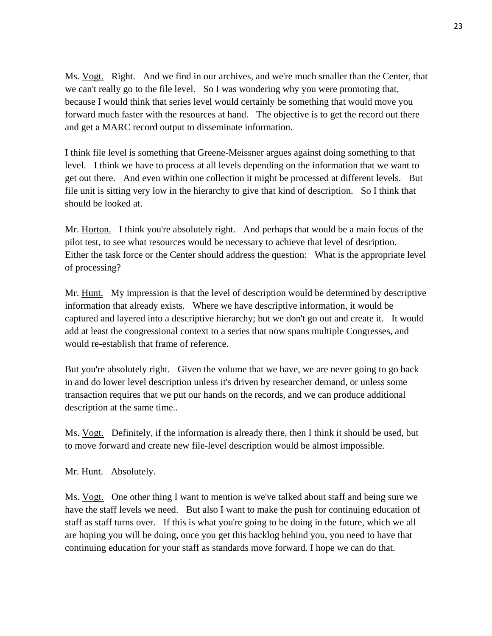Ms. Vogt. Right. And we find in our archives, and we're much smaller than the Center, that we can't really go to the file level. So I was wondering why you were promoting that, because I would think that series level would certainly be something that would move you forward much faster with the resources at hand. The objective is to get the record out there and get a MARC record output to disseminate information.

I think file level is something that Greene-Meissner argues against doing something to that level. I think we have to process at all levels depending on the information that we want to get out there. And even within one collection it might be processed at different levels. But file unit is sitting very low in the hierarchy to give that kind of description. So I think that should be looked at.

Mr. Horton. I think you're absolutely right. And perhaps that would be a main focus of the pilot test, to see what resources would be necessary to achieve that level of desription. Either the task force or the Center should address the question: What is the appropriate level of processing?

Mr. Hunt. My impression is that the level of description would be determined by descriptive information that already exists. Where we have descriptive information, it would be captured and layered into a descriptive hierarchy; but we don't go out and create it. It would add at least the congressional context to a series that now spans multiple Congresses, and would re-establish that frame of reference.

But you're absolutely right. Given the volume that we have, we are never going to go back in and do lower level description unless it's driven by researcher demand, or unless some transaction requires that we put our hands on the records, and we can produce additional description at the same time..

Ms. Vogt. Definitely, if the information is already there, then I think it should be used, but to move forward and create new file-level description would be almost impossible.

Mr. Hunt. Absolutely.

Ms. Vogt. One other thing I want to mention is we've talked about staff and being sure we have the staff levels we need. But also I want to make the push for continuing education of staff as staff turns over. If this is what you're going to be doing in the future, which we all are hoping you will be doing, once you get this backlog behind you, you need to have that continuing education for your staff as standards move forward. I hope we can do that.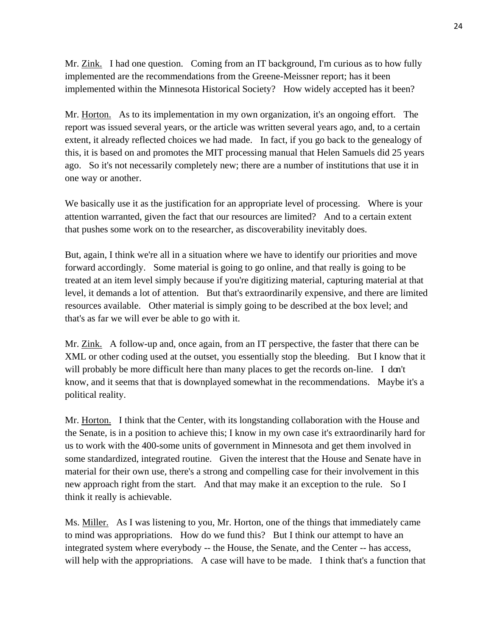Mr. Zink. I had one question. Coming from an IT background, I'm curious as to how fully implemented are the recommendations from the Greene-Meissner report; has it been implemented within the Minnesota Historical Society? How widely accepted has it been?

Mr. Horton. As to its implementation in my own organization, it's an ongoing effort. The report was issued several years, or the article was written several years ago, and, to a certain extent, it already reflected choices we had made. In fact, if you go back to the genealogy of this, it is based on and promotes the MIT processing manual that Helen Samuels did 25 years ago. So it's not necessarily completely new; there are a number of institutions that use it in one way or another.

We basically use it as the justification for an appropriate level of processing. Where is your attention warranted, given the fact that our resources are limited? And to a certain extent that pushes some work on to the researcher, as discoverability inevitably does.

But, again, I think we're all in a situation where we have to identify our priorities and move forward accordingly. Some material is going to go online, and that really is going to be treated at an item level simply because if you're digitizing material, capturing material at that level, it demands a lot of attention. But that's extraordinarily expensive, and there are limited resources available. Other material is simply going to be described at the box level; and that's as far we will ever be able to go with it.

Mr. Zink. A follow-up and, once again, from an IT perspective, the faster that there can be XML or other coding used at the outset, you essentially stop the bleeding. But I know that it will probably be more difficult here than many places to get the records on-line. I don't know, and it seems that that is downplayed somewhat in the recommendations. Maybe it's a political reality.

Mr. Horton. I think that the Center, with its longstanding collaboration with the House and the Senate, is in a position to achieve this; I know in my own case it's extraordinarily hard for us to work with the 400-some units of government in Minnesota and get them involved in some standardized, integrated routine. Given the interest that the House and Senate have in material for their own use, there's a strong and compelling case for their involvement in this new approach right from the start. And that may make it an exception to the rule. So I think it really is achievable.

Ms. Miller. As I was listening to you, Mr. Horton, one of the things that immediately came to mind was appropriations. How do we fund this? But I think our attempt to have an integrated system where everybody -- the House, the Senate, and the Center -- has access, will help with the appropriations. A case will have to be made. I think that's a function that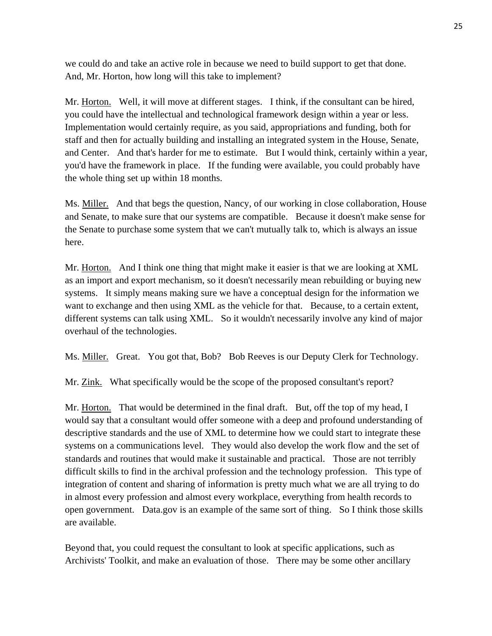we could do and take an active role in because we need to build support to get that done. And, Mr. Horton, how long will this take to implement?

Mr. Horton. Well, it will move at different stages. I think, if the consultant can be hired, you could have the intellectual and technological framework design within a year or less. Implementation would certainly require, as you said, appropriations and funding, both for staff and then for actually building and installing an integrated system in the House, Senate, and Center. And that's harder for me to estimate. But I would think, certainly within a year, you'd have the framework in place. If the funding were available, you could probably have the whole thing set up within 18 months.

Ms. Miller. And that begs the question, Nancy, of our working in close collaboration, House and Senate, to make sure that our systems are compatible. Because it doesn't make sense for the Senate to purchase some system that we can't mutually talk to, which is always an issue here.

Mr. Horton. And I think one thing that might make it easier is that we are looking at XML as an import and export mechanism, so it doesn't necessarily mean rebuilding or buying new systems. It simply means making sure we have a conceptual design for the information we want to exchange and then using XML as the vehicle for that. Because, to a certain extent, different systems can talk using XML. So it wouldn't necessarily involve any kind of major overhaul of the technologies.

Ms. Miller. Great. You got that, Bob? Bob Reeves is our Deputy Clerk for Technology.

Mr. Zink. What specifically would be the scope of the proposed consultant's report?

Mr. Horton. That would be determined in the final draft. But, off the top of my head, I would say that a consultant would offer someone with a deep and profound understanding of descriptive standards and the use of XML to determine how we could start to integrate these systems on a communications level. They would also develop the work flow and the set of standards and routines that would make it sustainable and practical. Those are not terribly difficult skills to find in the archival profession and the technology profession. This type of integration of content and sharing of information is pretty much what we are all trying to do in almost every profession and almost every workplace, everything from health records to open government. Data.gov is an example of the same sort of thing. So I think those skills are available.

Beyond that, you could request the consultant to look at specific applications, such as Archivists' Toolkit, and make an evaluation of those. There may be some other ancillary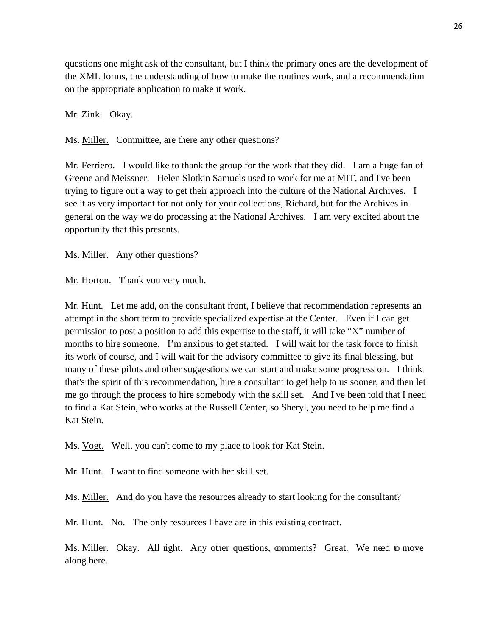questions one might ask of the consultant, but I think the primary ones are the development of the XML forms, the understanding of how to make the routines work, and a recommendation on the appropriate application to make it work.

Mr. Zink. Okay.

Ms. Miller. Committee, are there any other questions?

Mr. Ferriero. I would like to thank the group for the work that they did. I am a huge fan of Greene and Meissner. Helen Slotkin Samuels used to work for me at MIT, and I've been trying to figure out a way to get their approach into the culture of the National Archives. I see it as very important for not only for your collections, Richard, but for the Archives in general on the way we do processing at the National Archives. I am very excited about the opportunity that this presents.

Ms. Miller. Any other questions?

Mr. Horton. Thank you very much.

Mr. Hunt. Let me add, on the consultant front, I believe that recommendation represents an attempt in the short term to provide specialized expertise at the Center. Even if I can get permission to post a position to add this expertise to the staff, it will take "X" number of months to hire someone. I'm anxious to get started. I will wait for the task force to finish its work of course, and I will wait for the advisory committee to give its final blessing, but many of these pilots and other suggestions we can start and make some progress on. I think that's the spirit of this recommendation, hire a consultant to get help to us sooner, and then let me go through the process to hire somebody with the skill set. And I've been told that I need to find a Kat Stein, who works at the Russell Center, so Sheryl, you need to help me find a Kat Stein.

Ms. Vogt. Well, you can't come to my place to look for Kat Stein.

Mr. Hunt. I want to find someone with her skill set.

Ms. Miller. And do you have the resources already to start looking for the consultant?

Mr. Hunt. No. The only resources I have are in this existing contract.

Ms. Miller. Okay. All right. Any other questions, comments? Great. We need to move along here.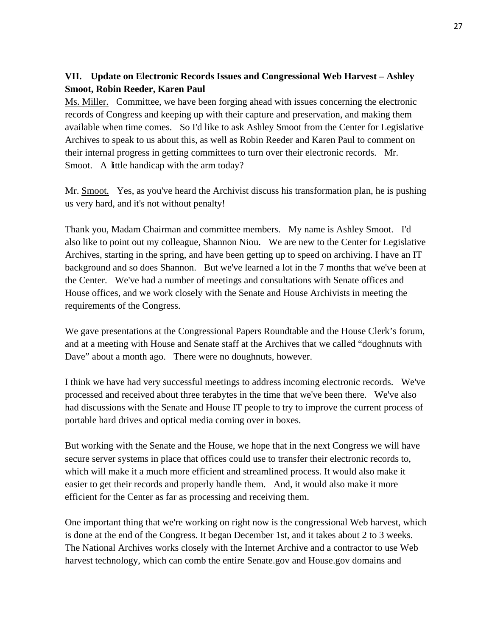# **VII. Update on Electronic Records Issues and Congressional Web Harvest – Ashley Smoot, Robin Reeder, Karen Paul**

Ms. Miller. Committee, we have been forging ahead with issues concerning the electronic records of Congress and keeping up with their capture and preservation, and making them available when time comes. So I'd like to ask Ashley Smoot from the Center for Legislative Archives to speak to us about this, as well as Robin Reeder and Karen Paul to comment on their internal progress in getting committees to turn over their electronic records. Mr. Smoot. A little handicap with the arm today?

Mr. Smoot. Yes, as you've heard the Archivist discuss his transformation plan, he is pushing us very hard, and it's not without penalty!

Thank you, Madam Chairman and committee members. My name is Ashley Smoot. I'd also like to point out my colleague, Shannon Niou. We are new to the Center for Legislative Archives, starting in the spring, and have been getting up to speed on archiving. I have an IT background and so does Shannon. But we've learned a lot in the 7 months that we've been at the Center. We've had a number of meetings and consultations with Senate offices and House offices, and we work closely with the Senate and House Archivists in meeting the requirements of the Congress.

We gave presentations at the Congressional Papers Roundtable and the House Clerk's forum, and at a meeting with House and Senate staff at the Archives that we called "doughnuts with Dave" about a month ago. There were no doughnuts, however.

I think we have had very successful meetings to address incoming electronic records. We've processed and received about three terabytes in the time that we've been there. We've also had discussions with the Senate and House IT people to try to improve the current process of portable hard drives and optical media coming over in boxes.

But working with the Senate and the House, we hope that in the next Congress we will have secure server systems in place that offices could use to transfer their electronic records to, which will make it a much more efficient and streamlined process. It would also make it easier to get their records and properly handle them. And, it would also make it more efficient for the Center as far as processing and receiving them.

One important thing that we're working on right now is the congressional Web harvest, which is done at the end of the Congress. It began December 1st, and it takes about 2 to 3 weeks. The National Archives works closely with the Internet Archive and a contractor to use Web harvest technology, which can comb the entire Senate.gov and House.gov domains and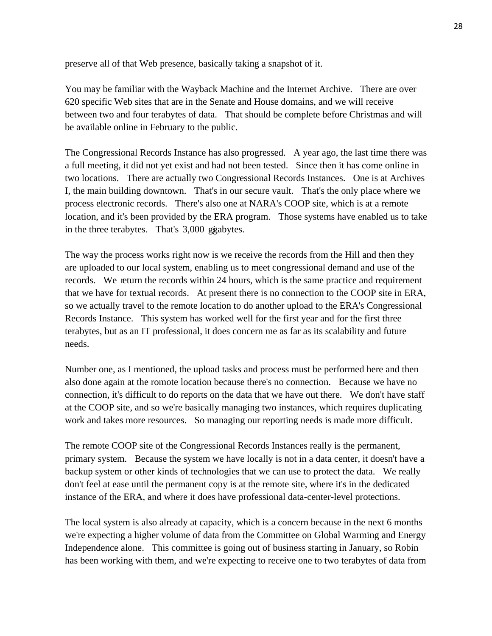preserve all of that Web presence, basically taking a snapshot of it.

You may be familiar with the Wayback Machine and the Internet Archive. There are over 620 specific Web sites that are in the Senate and House domains, and we will receive between two and four terabytes of data. That should be complete before Christmas and will be available online in February to the public.

The Congressional Records Instance has also progressed. A year ago, the last time there was a full meeting, it did not yet exist and had not been tested. Since then it has come online in two locations. There are actually two Congressional Records Instances. One is at Archives I, the main building downtown. That's in our secure vault. That's the only place where we process electronic records. There's also one at NARA's COOP site, which is at a remote location, and it's been provided by the ERA program. Those systems have enabled us to take in the three terabytes. That's 3,000 gigabytes.

The way the process works right now is we receive the records from the Hill and then they are uploaded to our local system, enabling us to meet congressional demand and use of the records. We return the records within 24 hours, which is the same practice and requirement that we have for textual records. At present there is no connection to the COOP site in ERA, so we actually travel to the remote location to do another upload to the ERA's Congressional Records Instance. This system has worked well for the first year and for the first three terabytes, but as an IT professional, it does concern me as far as its scalability and future needs.

Number one, as I mentioned, the upload tasks and process must be performed here and then also done again at the romote location because there's no connection. Because we have no connection, it's difficult to do reports on the data that we have out there. We don't have staff at the COOP site, and so we're basically managing two instances, which requires duplicating work and takes more resources. So managing our reporting needs is made more difficult.

The remote COOP site of the Congressional Records Instances really is the permanent, primary system. Because the system we have locally is not in a data center, it doesn't have a backup system or other kinds of technologies that we can use to protect the data. We really don't feel at ease until the permanent copy is at the remote site, where it's in the dedicated instance of the ERA, and where it does have professional data-center-level protections.

The local system is also already at capacity, which is a concern because in the next 6 months we're expecting a higher volume of data from the Committee on Global Warming and Energy Independence alone. This committee is going out of business starting in January, so Robin has been working with them, and we're expecting to receive one to two terabytes of data from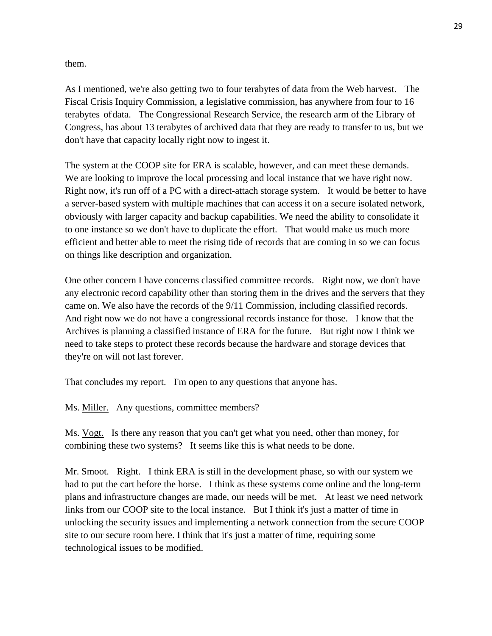them.

As I mentioned, we're also getting two to four terabytes of data from the Web harvest. The Fiscal Crisis Inquiry Commission, a legislative commission, has anywhere from four to 16 terabytes of data. The Congressional Research Service, the research arm of the Library of Congress, has about 13 terabytes of archived data that they are ready to transfer to us, but we don't have that capacity locally right now to ingest it.

The system at the COOP site for ERA is scalable, however, and can meet these demands. We are looking to improve the local processing and local instance that we have right now. Right now, it's run off of a PC with a direct-attach storage system. It would be better to have a server-based system with multiple machines that can access it on a secure isolated network, obviously with larger capacity and backup capabilities. We need the ability to consolidate it to one instance so we don't have to duplicate the effort. That would make us much more efficient and better able to meet the rising tide of records that are coming in so we can focus on things like description and organization.

One other concern I have concerns classified committee records. Right now, we don't have any electronic record capability other than storing them in the drives and the servers that they came on. We also have the records of the 9/11 Commission, including classified records. And right now we do not have a congressional records instance for those. I know that the Archives is planning a classified instance of ERA for the future. But right now I think we need to take steps to protect these records because the hardware and storage devices that they're on will not last forever.

That concludes my report. I'm open to any questions that anyone has.

Ms. Miller. Any questions, committee members?

Ms. Vogt. Is there any reason that you can't get what you need, other than money, for combining these two systems? It seems like this is what needs to be done.

Mr. Smoot. Right. I think ERA is still in the development phase, so with our system we had to put the cart before the horse. I think as these systems come online and the long-term plans and infrastructure changes are made, our needs will be met. At least we need network links from our COOP site to the local instance. But I think it's just a matter of time in unlocking the security issues and implementing a network connection from the secure COOP site to our secure room here. I think that it's just a matter of time, requiring some technological issues to be modified.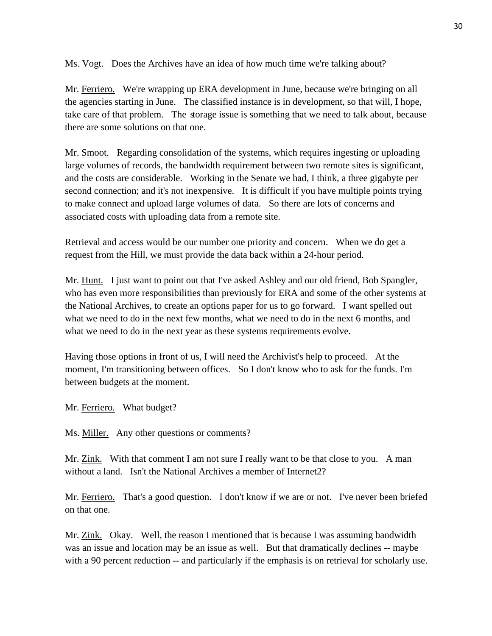Ms. Vogt. Does the Archives have an idea of how much time we're talking about?

Mr. Ferriero. We're wrapping up ERA development in June, because we're bringing on all the agencies starting in June. The classified instance is in development, so that will, I hope, take care of that problem. The storage issue is something that we need to talk about, because there are some solutions on that one.

Mr. Smoot. Regarding consolidation of the systems, which requires ingesting or uploading large volumes of records, the bandwidth requirement between two remote sites is significant, and the costs are considerable. Working in the Senate we had, I think, a three gigabyte per second connection; and it's not inexpensive. It is difficult if you have multiple points trying to make connect and upload large volumes of data. So there are lots of concerns and associated costs with uploading data from a remote site.

Retrieval and access would be our number one priority and concern. When we do get a request from the Hill, we must provide the data back within a 24-hour period.

Mr. Hunt. I just want to point out that I've asked Ashley and our old friend, Bob Spangler, who has even more responsibilities than previously for ERA and some of the other systems at the National Archives, to create an options paper for us to go forward. I want spelled out what we need to do in the next few months, what we need to do in the next 6 months, and what we need to do in the next year as these systems requirements evolve.

Having those options in front of us, I will need the Archivist's help to proceed. At the moment, I'm transitioning between offices. So I don't know who to ask for the funds. I'm between budgets at the moment.

Mr. Ferriero. What budget?

Ms. Miller. Any other questions or comments?

Mr. Zink. With that comment I am not sure I really want to be that close to you. A man without a land. Isn't the National Archives a member of Internet2?

Mr. Ferriero. That's a good question. I don't know if we are or not. I've never been briefed on that one.

Mr. Zink. Okay. Well, the reason I mentioned that is because I was assuming bandwidth was an issue and location may be an issue as well. But that dramatically declines -- maybe with a 90 percent reduction -- and particularly if the emphasis is on retrieval for scholarly use.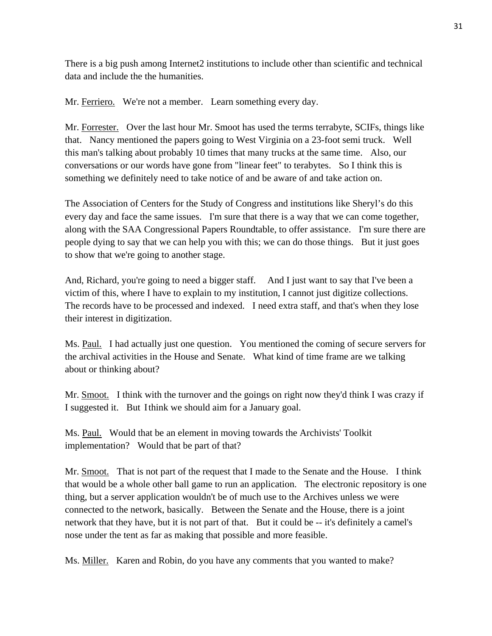There is a big push among Internet2 institutions to include other than scientific and technical data and include the the humanities.

Mr. Ferriero. We're not a member. Learn something every day.

Mr. Forrester. Over the last hour Mr. Smoot has used the terms terrabyte, SCIFs, things like that. Nancy mentioned the papers going to West Virginia on a 23-foot semi truck. Well this man's talking about probably 10 times that many trucks at the same time. Also, our conversations or our words have gone from "linear feet" to terabytes. So I think this is something we definitely need to take notice of and be aware of and take action on.

The Association of Centers for the Study of Congress and institutions like Sheryl's do this every day and face the same issues. I'm sure that there is a way that we can come together, along with the SAA Congressional Papers Roundtable, to offer assistance. I'm sure there are people dying to say that we can help you with this; we can do those things. But it just goes to show that we're going to another stage.

And, Richard, you're going to need a bigger staff. And I just want to say that I've been a victim of this, where I have to explain to my institution, I cannot just digitize collections. The records have to be processed and indexed. I need extra staff, and that's when they lose their interest in digitization.

Ms. Paul. I had actually just one question. You mentioned the coming of secure servers for the archival activities in the House and Senate. What kind of time frame are we talking about or thinking about?

Mr. Smoot. I think with the turnover and the goings on right now they'd think I was crazy if I suggested it. But I think we should aim for a January goal.

Ms. Paul. Would that be an element in moving towards the Archivists' Toolkit implementation? Would that be part of that?

Mr. Smoot. That is not part of the request that I made to the Senate and the House. I think that would be a whole other ball game to run an application. The electronic repository is one thing, but a server application wouldn't be of much use to the Archives unless we were connected to the network, basically. Between the Senate and the House, there is a joint network that they have, but it is not part of that. But it could be -- it's definitely a camel's nose under the tent as far as making that possible and more feasible.

Ms. Miller. Karen and Robin, do you have any comments that you wanted to make?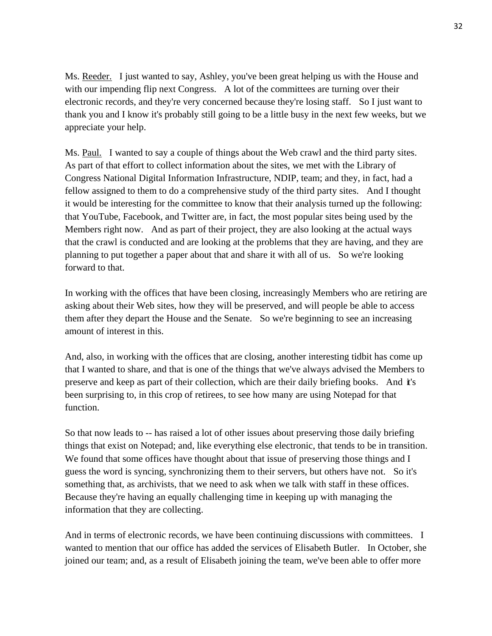Ms. Reeder. I just wanted to say, Ashley, you've been great helping us with the House and with our impending flip next Congress. A lot of the committees are turning over their electronic records, and they're very concerned because they're losing staff. So I just want to thank you and I know it's probably still going to be a little busy in the next few weeks, but we appreciate your help.

Ms. Paul. I wanted to say a couple of things about the Web crawl and the third party sites. As part of that effort to collect information about the sites, we met with the Library of Congress National Digital Information Infrastructure, NDIP, team; and they, in fact, had a fellow assigned to them to do a comprehensive study of the third party sites. And I thought it would be interesting for the committee to know that their analysis turned up the following: that YouTube, Facebook, and Twitter are, in fact, the most popular sites being used by the Members right now. And as part of their project, they are also looking at the actual ways that the crawl is conducted and are looking at the problems that they are having, and they are planning to put together a paper about that and share it with all of us. So we're looking forward to that.

In working with the offices that have been closing, increasingly Members who are retiring are asking about their Web sites, how they will be preserved, and will people be able to access them after they depart the House and the Senate. So we're beginning to see an increasing amount of interest in this.

And, also, in working with the offices that are closing, another interesting tidbit has come up that I wanted to share, and that is one of the things that we've always advised the Members to preserve and keep as part of their collection, which are their daily briefing books. And it's been surprising to, in this crop of retirees, to see how many are using Notepad for that function.

So that now leads to -- has raised a lot of other issues about preserving those daily briefing things that exist on Notepad; and, like everything else electronic, that tends to be in transition. We found that some offices have thought about that issue of preserving those things and I guess the word is syncing, synchronizing them to their servers, but others have not. So it's something that, as archivists, that we need to ask when we talk with staff in these offices. Because they're having an equally challenging time in keeping up with managing the information that they are collecting.

And in terms of electronic records, we have been continuing discussions with committees. I wanted to mention that our office has added the services of Elisabeth Butler. In October, she joined our team; and, as a result of Elisabeth joining the team, we've been able to offer more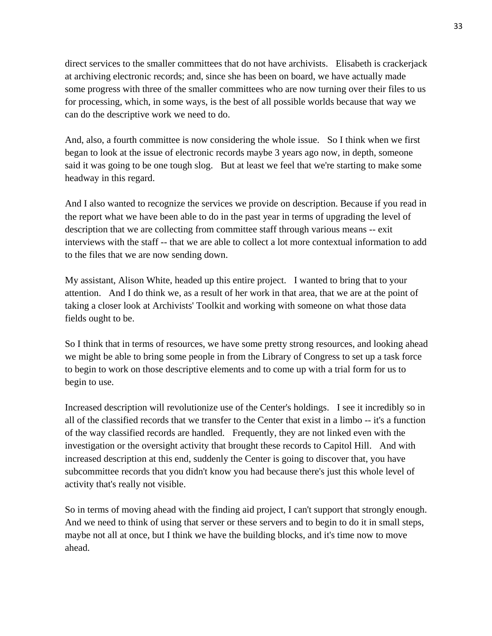direct services to the smaller committees that do not have archivists. Elisabeth is crackerjack at archiving electronic records; and, since she has been on board, we have actually made some progress with three of the smaller committees who are now turning over their files to us for processing, which, in some ways, is the best of all possible worlds because that way we can do the descriptive work we need to do.

And, also, a fourth committee is now considering the whole issue. So I think when we first began to look at the issue of electronic records maybe 3 years ago now, in depth, someone said it was going to be one tough slog. But at least we feel that we're starting to make some headway in this regard.

And I also wanted to recognize the services we provide on description. Because if you read in the report what we have been able to do in the past year in terms of upgrading the level of description that we are collecting from committee staff through various means -- exit interviews with the staff -- that we are able to collect a lot more contextual information to add to the files that we are now sending down.

My assistant, Alison White, headed up this entire project. I wanted to bring that to your attention. And I do think we, as a result of her work in that area, that we are at the point of taking a closer look at Archivists' Toolkit and working with someone on what those data fields ought to be.

So I think that in terms of resources, we have some pretty strong resources, and looking ahead we might be able to bring some people in from the Library of Congress to set up a task force to begin to work on those descriptive elements and to come up with a trial form for us to begin to use.

Increased description will revolutionize use of the Center's holdings. I see it incredibly so in all of the classified records that we transfer to the Center that exist in a limbo -- it's a function of the way classified records are handled. Frequently, they are not linked even with the investigation or the oversight activity that brought these records to Capitol Hill. And with increased description at this end, suddenly the Center is going to discover that, you have subcommittee records that you didn't know you had because there's just this whole level of activity that's really not visible.

So in terms of moving ahead with the finding aid project, I can't support that strongly enough. And we need to think of using that server or these servers and to begin to do it in small steps, maybe not all at once, but I think we have the building blocks, and it's time now to move ahead.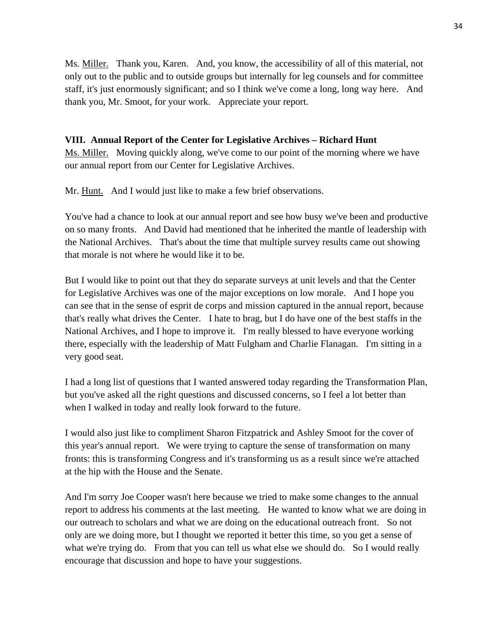Ms. Miller. Thank you, Karen. And, you know, the accessibility of all of this material, not only out to the public and to outside groups but internally for leg counsels and for committee staff, it's just enormously significant; and so I think we've come a long, long way here. And thank you, Mr. Smoot, for your work. Appreciate your report.

# **VIII. Annual Report of the Center for Legislative Archives – Richard Hunt**

Ms. Miller. Moving quickly along, we've come to our point of the morning where we have our annual report from our Center for Legislative Archives.

Mr. Hunt. And I would just like to make a few brief observations.

You've had a chance to look at our annual report and see how busy we've been and productive on so many fronts. And David had mentioned that he inherited the mantle of leadership with the National Archives. That's about the time that multiple survey results came out showing that morale is not where he would like it to be.

But I would like to point out that they do separate surveys at unit levels and that the Center for Legislative Archives was one of the major exceptions on low morale. And I hope you can see that in the sense of esprit de corps and mission captured in the annual report, because that's really what drives the Center. I hate to brag, but I do have one of the best staffs in the National Archives, and I hope to improve it. I'm really blessed to have everyone working there, especially with the leadership of Matt Fulgham and Charlie Flanagan. I'm sitting in a very good seat.

I had a long list of questions that I wanted answered today regarding the Transformation Plan, but you've asked all the right questions and discussed concerns, so I feel a lot better than when I walked in today and really look forward to the future.

I would also just like to compliment Sharon Fitzpatrick and Ashley Smoot for the cover of this year's annual report. We were trying to capture the sense of transformation on many fronts: this is transforming Congress and it's transforming us as a result since we're attached at the hip with the House and the Senate.

And I'm sorry Joe Cooper wasn't here because we tried to make some changes to the annual report to address his comments at the last meeting. He wanted to know what we are doing in our outreach to scholars and what we are doing on the educational outreach front. So not only are we doing more, but I thought we reported it better this time, so you get a sense of what we're trying do. From that you can tell us what else we should do. So I would really encourage that discussion and hope to have your suggestions.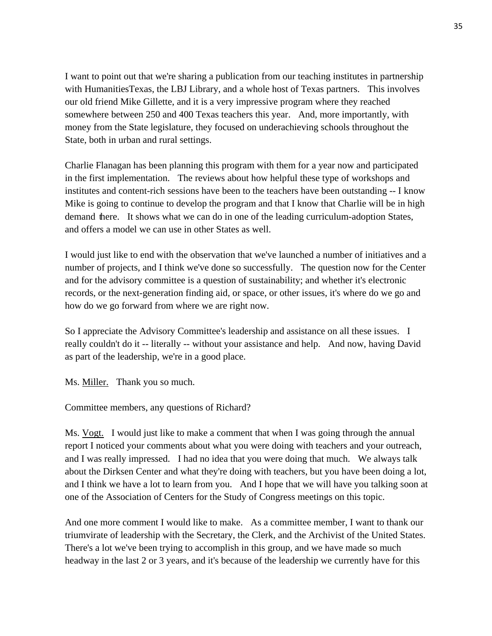I want to point out that we're sharing a publication from our teaching institutes in partnership with Humanities Texas, the LBJ Library, and a whole host of Texas partners. This involves our old friend Mike Gillette, and it is a very impressive program where they reached somewhere between 250 and 400 Texas teachers this year. And, more importantly, with money from the State legislature, they focused on underachieving schools throughout the State, both in urban and rural settings.

Charlie Flanagan has been planning this program with them for a year now and participated in the first implementation. The reviews about how helpful these type of workshops and institutes and content-rich sessions have been to the teachers have been outstanding -- I know Mike is going to continue to develop the program and that I know that Charlie will be in high demand there. It shows what we can do in one of the leading curriculum-adoption States, and offers a model we can use in other States as well.

I would just like to end with the observation that we've launched a number of initiatives and a number of projects, and I think we've done so successfully. The question now for the Center and for the advisory committee is a question of sustainability; and whether it's electronic records, or the next-generation finding aid, or space, or other issues, it's where do we go and how do we go forward from where we are right now.

So I appreciate the Advisory Committee's leadership and assistance on all these issues. I really couldn't do it -- literally -- without your assistance and help. And now, having David as part of the leadership, we're in a good place.

Ms. Miller. Thank you so much.

Committee members, any questions of Richard?

Ms. Vogt. I would just like to make a comment that when I was going through the annual report I noticed your comments about what you were doing with teachers and your outreach, and I was really impressed. I had no idea that you were doing that much. We always talk about the Dirksen Center and what they're doing with teachers, but you have been doing a lot, and I think we have a lot to learn from you. And I hope that we will have you talking soon at one of the Association of Centers for the Study of Congress meetings on this topic.

And one more comment I would like to make. As a committee member, I want to thank our triumvirate of leadership with the Secretary, the Clerk, and the Archivist of the United States. There's a lot we've been trying to accomplish in this group, and we have made so much headway in the last 2 or 3 years, and it's because of the leadership we currently have for this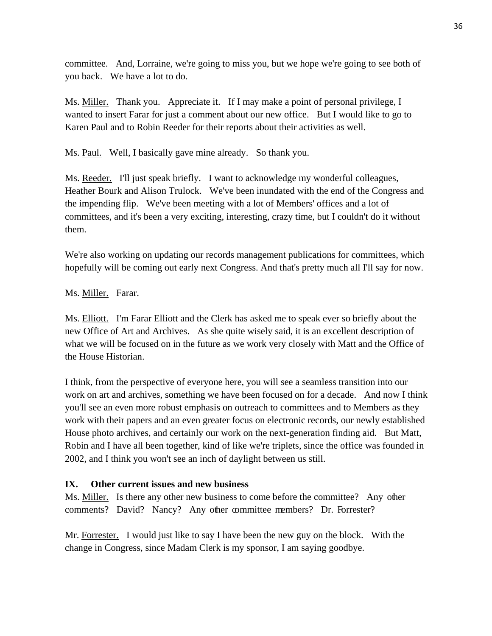committee. And, Lorraine, we're going to miss you, but we hope we're going to see both of you back. We have a lot to do.

Ms. Miller. Thank you. Appreciate it. If I may make a point of personal privilege, I wanted to insert Farar for just a comment about our new office. But I would like to go to Karen Paul and to Robin Reeder for their reports about their activities as well.

Ms. <u>Paul.</u> Well, I basically gave mine already. So thank you.

Ms. Reeder. I'll just speak briefly. I want to acknowledge my wonderful colleagues, Heather Bourk and Alison Trulock. We've been inundated with the end of the Congress and the impending flip. We've been meeting with a lot of Members' offices and a lot of committees, and it's been a very exciting, interesting, crazy time, but I couldn't do it without them.

We're also working on updating our records management publications for committees, which hopefully will be coming out early next Congress. And that's pretty much all I'll say for now.

Ms. Miller. Farar.

Ms. Elliott. I'm Farar Elliott and the Clerk has asked me to speak ever so briefly about the new Office of Art and Archives. As she quite wisely said, it is an excellent description of what we will be focused on in the future as we work very closely with Matt and the Office of the House Historian.

I think, from the perspective of everyone here, you will see a seamless transition into our work on art and archives, something we have been focused on for a decade. And now I think you'll see an even more robust emphasis on outreach to committees and to Members as they work with their papers and an even greater focus on electronic records, our newly established House photo archives, and certainly our work on the next-generation finding aid. But Matt, Robin and I have all been together, kind of like we're triplets, since the office was founded in 2002, and I think you won't see an inch of daylight between us still.

# **IX. Other current issues and new business**

Ms. Miller. Is there any other new business to come before the committee? Any other comments? David? Nancy? Any other committee members? Dr. Forrester?

Mr. Forrester. I would just like to say I have been the new guy on the block. With the change in Congress, since Madam Clerk is my sponsor, I am saying goodbye.